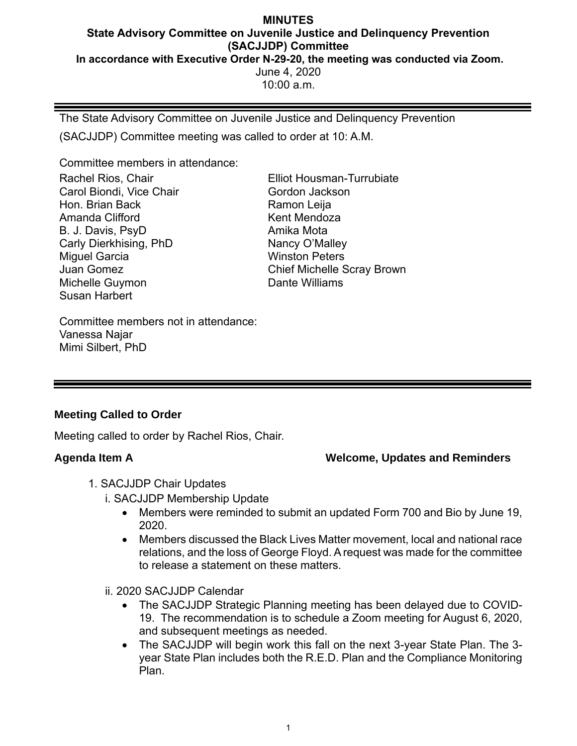### **MINUTES State Advisory Committee on Juvenile Justice and Delinquency Prevention (SACJJDP) Committee In accordance with Executive Order N-29-20, the meeting was conducted via Zoom.** June 4, 2020  $10:00$  a.m.

The State Advisory Committee on Juvenile Justice and Delinquency Prevention

(SACJJDP) Committee meeting was called to order at 10: A.M.

Committee members in attendance:

Rachel Rios, Chair Carol Biondi, Vice Chair Hon. Brian Back Amanda Clifford B. J. Davis, PsyD Carly Dierkhising, PhD Miguel Garcia Juan Gomez Michelle Guymon Susan Harbert

Elliot Housman-Turrubiate Gordon Jackson Ramon Leija Kent Mendoza Amika Mota Nancy O'Malley Winston Peters Chief Michelle Scray Brown Dante Williams

Committee members not in attendance: Vanessa Najar Mimi Silbert, PhD

# **Meeting Called to Order**

Meeting called to order by Rachel Rios, Chair.

# **Agenda Item A Welcome, Updates and Reminders**

- 1. SACJJDP Chair Updates
	- i. SACJJDP Membership Update
		- Members were reminded to submit an updated Form 700 and Bio by June 19, 2020.
		- Members discussed the Black Lives Matter movement, local and national race relations, and the loss of George Floyd. A request was made for the committee to release a statement on these matters.

# ii. 2020 SACJJDP Calendar

- The SACJJDP Strategic Planning meeting has been delayed due to COVID-19. The recommendation is to schedule a Zoom meeting for August 6, 2020, and subsequent meetings as needed.
- The SACJJDP will begin work this fall on the next 3-year State Plan. The 3 year State Plan includes both the R.E.D. Plan and the Compliance Monitoring Plan.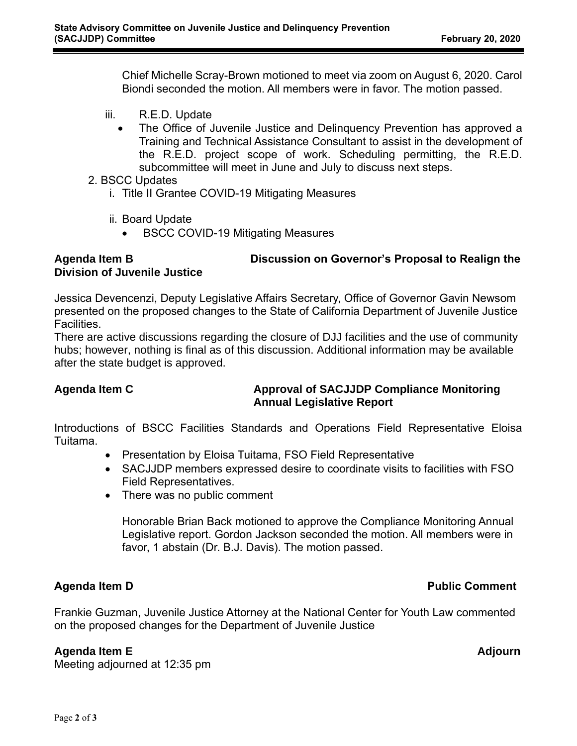Chief Michelle Scray-Brown motioned to meet via zoom on August 6, 2020. Carol Biondi seconded the motion. All members were in favor. The motion passed.

- iii. R.E.D. Update
	- The Office of Juvenile Justice and Delinquency Prevention has approved a Training and Technical Assistance Consultant to assist in the development of the R.E.D. project scope of work. Scheduling permitting, the R.E.D. subcommittee will meet in June and July to discuss next steps.
- 2. BSCC Updates
	- i. Title II Grantee COVID-19 Mitigating Measures
	- ii. Board Update
		- BSCC COVID-19 Mitigating Measures

# **Agenda Item B Discussion on Governor's Proposal to Realign the Division of Juvenile Justice**

Jessica Devencenzi, Deputy Legislative Affairs Secretary, Office of Governor Gavin Newsom presented on the proposed changes to the State of California Department of Juvenile Justice **Facilities** 

There are active discussions regarding the closure of DJJ facilities and the use of community hubs; however, nothing is final as of this discussion. Additional information may be available after the state budget is approved.

# **Agenda Item C Approval of SACJJDP Compliance Monitoring Annual Legislative Report**

Introductions of BSCC Facilities Standards and Operations Field Representative Eloisa Tuitama.

- Presentation by Eloisa Tuitama, FSO Field Representative
- SACJJDP members expressed desire to coordinate visits to facilities with FSO Field Representatives.
- There was no public comment

Honorable Brian Back motioned to approve the Compliance Monitoring Annual Legislative report. Gordon Jackson seconded the motion. All members were in favor, 1 abstain (Dr. B.J. Davis). The motion passed.

Frankie Guzman, Juvenile Justice Attorney at the National Center for Youth Law commented on the proposed changes for the Department of Juvenile Justice

# **Agenda Item E Adjourn**

Meeting adjourned at 12:35 pm

# **Agenda Item D Public Comment**